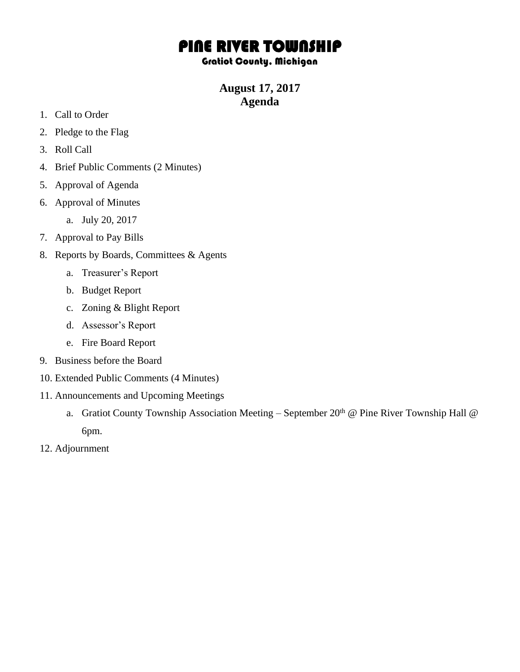## PINE RIVER TOWNSHIP

## Gratiot County, Michigan

**August 17, 2017 Agenda**

- 1. Call to Order
- 2. Pledge to the Flag
- 3. Roll Call
- 4. Brief Public Comments (2 Minutes)
- 5. Approval of Agenda
- 6. Approval of Minutes
	- a. July 20, 2017
- 7. Approval to Pay Bills
- 8. Reports by Boards, Committees & Agents
	- a. Treasurer's Report
	- b. Budget Report
	- c. Zoning & Blight Report
	- d. Assessor's Report
	- e. Fire Board Report
- 9. Business before the Board
- 10. Extended Public Comments (4 Minutes)
- 11. Announcements and Upcoming Meetings
	- a. Gratiot County Township Association Meeting September  $20<sup>th</sup>$  @ Pine River Township Hall @ 6pm.
- 12. Adjournment